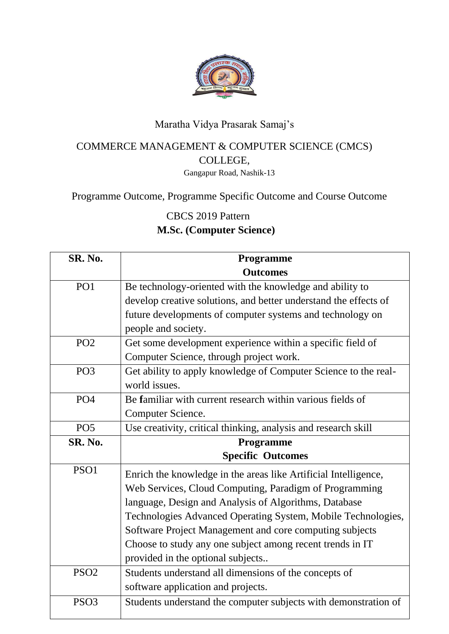

## Maratha Vidya Prasarak Samaj's

## COMMERCE MANAGEMENT & COMPUTER SCIENCE (CMCS) COLLEGE,

Gangapur Road, Nashik-13

Programme Outcome, Programme Specific Outcome and Course Outcome

CBCS 2019 Pattern

## **M.Sc. (Computer Science)**

| SR. No.          | Programme                                                        |
|------------------|------------------------------------------------------------------|
|                  | <b>Outcomes</b>                                                  |
| PO1              | Be technology-oriented with the knowledge and ability to         |
|                  | develop creative solutions, and better understand the effects of |
|                  | future developments of computer systems and technology on        |
|                  | people and society.                                              |
| PO <sub>2</sub>  | Get some development experience within a specific field of       |
|                  | Computer Science, through project work.                          |
| PO <sub>3</sub>  | Get ability to apply knowledge of Computer Science to the real-  |
|                  | world issues.                                                    |
| PO <sub>4</sub>  | Be familiar with current research within various fields of       |
|                  | Computer Science.                                                |
| PO <sub>5</sub>  | Use creativity, critical thinking, analysis and research skill   |
| SR. No.          | Programme                                                        |
|                  | <b>Specific Outcomes</b>                                         |
| PSO1             | Enrich the knowledge in the areas like Artificial Intelligence,  |
|                  | Web Services, Cloud Computing, Paradigm of Programming           |
|                  | language, Design and Analysis of Algorithms, Database            |
|                  | Technologies Advanced Operating System, Mobile Technologies,     |
|                  | Software Project Management and core computing subjects          |
|                  | Choose to study any one subject among recent trends in IT        |
|                  | provided in the optional subjects                                |
| PSO <sub>2</sub> | Students understand all dimensions of the concepts of            |
|                  | software application and projects.                               |
| PSO <sub>3</sub> | Students understand the computer subjects with demonstration of  |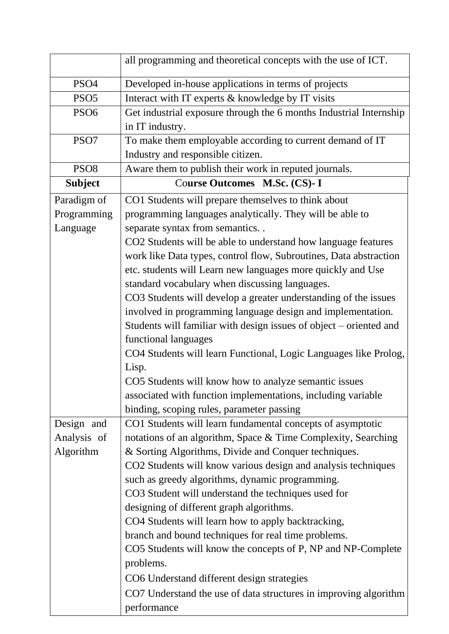|                  | all programming and theoretical concepts with the use of ICT.             |
|------------------|---------------------------------------------------------------------------|
| PSO <sub>4</sub> | Developed in-house applications in terms of projects                      |
| PSO <sub>5</sub> | Interact with IT experts & knowledge by IT visits                         |
| PSO <sub>6</sub> | Get industrial exposure through the 6 months Industrial Internship        |
|                  | in IT industry.                                                           |
| PSO7             | To make them employable according to current demand of IT                 |
|                  | Industry and responsible citizen.                                         |
| PSO <sub>8</sub> | Aware them to publish their work in reputed journals.                     |
| <b>Subject</b>   | Course Outcomes M.Sc. (CS)- I                                             |
| Paradigm of      | CO1 Students will prepare themselves to think about                       |
| Programming      | programming languages analytically. They will be able to                  |
| Language         | separate syntax from semantics                                            |
|                  | CO2 Students will be able to understand how language features             |
|                  | work like Data types, control flow, Subroutines, Data abstraction         |
|                  | etc. students will Learn new languages more quickly and Use               |
|                  | standard vocabulary when discussing languages.                            |
|                  | CO3 Students will develop a greater understanding of the issues           |
|                  | involved in programming language design and implementation.               |
|                  | Students will familiar with design issues of object – oriented and        |
|                  | functional languages                                                      |
|                  | CO4 Students will learn Functional, Logic Languages like Prolog,          |
|                  | Lisp.                                                                     |
|                  | CO5 Students will know how to analyze semantic issues                     |
|                  | associated with function implementations, including variable              |
|                  | binding, scoping rules, parameter passing                                 |
| Design and       | CO1 Students will learn fundamental concepts of asymptotic                |
| Analysis of      | notations of an algorithm, Space & Time Complexity, Searching             |
| Algorithm        | & Sorting Algorithms, Divide and Conquer techniques.                      |
|                  | CO2 Students will know various design and analysis techniques             |
|                  | such as greedy algorithms, dynamic programming.                           |
|                  | CO3 Student will understand the techniques used for                       |
|                  | designing of different graph algorithms.                                  |
|                  | CO4 Students will learn how to apply backtracking,                        |
|                  | branch and bound techniques for real time problems.                       |
|                  | CO5 Students will know the concepts of P, NP and NP-Complete<br>problems. |
|                  | CO6 Understand different design strategies                                |
|                  | CO7 Understand the use of data structures in improving algorithm          |
|                  | performance                                                               |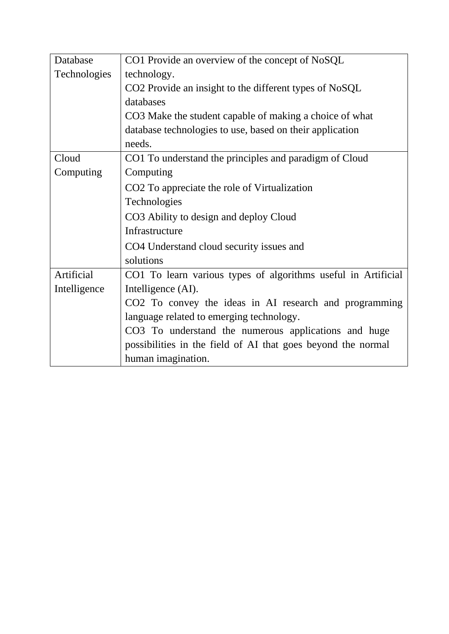| Database     | CO1 Provide an overview of the concept of NoSQL               |
|--------------|---------------------------------------------------------------|
| Technologies | technology.                                                   |
|              | CO2 Provide an insight to the different types of NoSQL        |
|              | databases                                                     |
|              | CO3 Make the student capable of making a choice of what       |
|              | database technologies to use, based on their application      |
|              | needs.                                                        |
| Cloud        | CO1 To understand the principles and paradigm of Cloud        |
| Computing    | Computing                                                     |
|              | CO <sub>2</sub> To appreciate the role of Virtualization      |
|              | Technologies                                                  |
|              | CO3 Ability to design and deploy Cloud                        |
|              | Infrastructure                                                |
|              | CO4 Understand cloud security issues and                      |
|              | solutions                                                     |
| Artificial   | CO1 To learn various types of algorithms useful in Artificial |
| Intelligence | Intelligence (AI).                                            |
|              | CO2 To convey the ideas in AI research and programming        |
|              | language related to emerging technology.                      |
|              | CO3 To understand the numerous applications and huge          |
|              | possibilities in the field of AI that goes beyond the normal  |
|              | human imagination.                                            |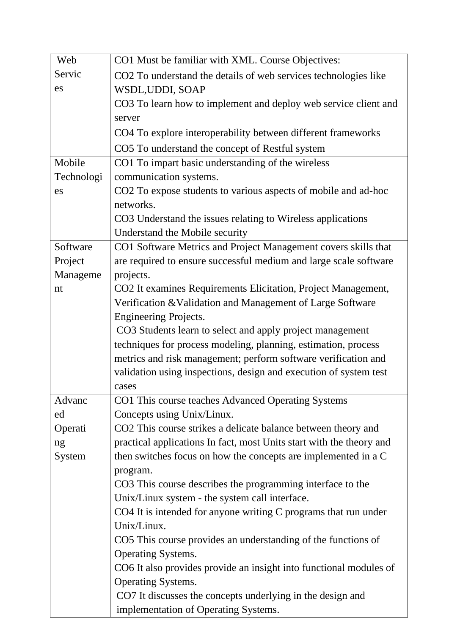| Web        | CO1 Must be familiar with XML. Course Objectives:                    |
|------------|----------------------------------------------------------------------|
| Servic     | CO2 To understand the details of web services technologies like      |
| es         | WSDL, UDDI, SOAP                                                     |
|            | CO3 To learn how to implement and deploy web service client and      |
|            | server                                                               |
|            | CO4 To explore interoperability between different frameworks         |
|            | CO5 To understand the concept of Restful system                      |
| Mobile     | CO1 To impart basic understanding of the wireless                    |
| Technologi | communication systems.                                               |
| es         | CO2 To expose students to various aspects of mobile and ad-hoc       |
|            | networks.                                                            |
|            | CO3 Understand the issues relating to Wireless applications          |
|            | Understand the Mobile security                                       |
| Software   | CO1 Software Metrics and Project Management covers skills that       |
| Project    | are required to ensure successful medium and large scale software    |
| Manageme   | projects.                                                            |
| nt         | CO2 It examines Requirements Elicitation, Project Management,        |
|            | Verification & Validation and Management of Large Software           |
|            | Engineering Projects.                                                |
|            | CO3 Students learn to select and apply project management            |
|            | techniques for process modeling, planning, estimation, process       |
|            | metrics and risk management; perform software verification and       |
|            | validation using inspections, design and execution of system test    |
|            | cases                                                                |
| Advanc     | CO1 This course teaches Advanced Operating Systems                   |
| ed         | Concepts using Unix/Linux.                                           |
| Operati    | CO2 This course strikes a delicate balance between theory and        |
| ng         | practical applications In fact, most Units start with the theory and |
| System     | then switches focus on how the concepts are implemented in a C       |
|            | program.                                                             |
|            | CO3 This course describes the programming interface to the           |
|            | Unix/Linux system - the system call interface.                       |
|            | CO4 It is intended for anyone writing C programs that run under      |
|            | Unix/Linux.                                                          |
|            | CO5 This course provides an understanding of the functions of        |
|            | <b>Operating Systems.</b>                                            |
|            | CO6 It also provides provide an insight into functional modules of   |
|            | <b>Operating Systems.</b>                                            |
|            | CO7 It discusses the concepts underlying in the design and           |
|            | implementation of Operating Systems.                                 |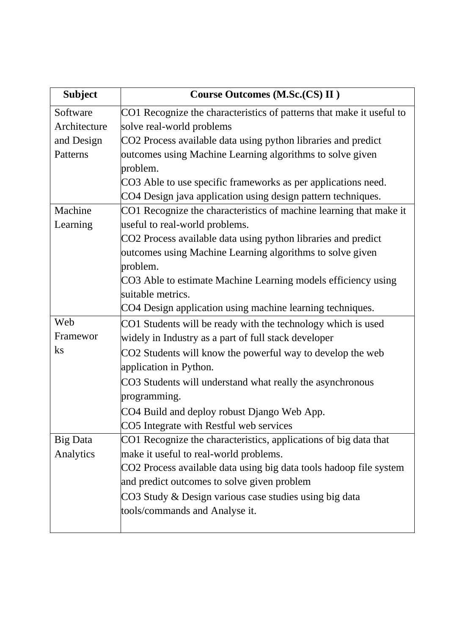| <b>Subject</b> | Course Outcomes (M.Sc.(CS) II)                                       |
|----------------|----------------------------------------------------------------------|
| Software       | CO1 Recognize the characteristics of patterns that make it useful to |
| Architecture   | solve real-world problems                                            |
| and Design     | CO2 Process available data using python libraries and predict        |
| Patterns       | outcomes using Machine Learning algorithms to solve given            |
|                | problem.                                                             |
|                | CO3 Able to use specific frameworks as per applications need.        |
|                | CO4 Design java application using design pattern techniques.         |
| Machine        | CO1 Recognize the characteristics of machine learning that make it   |
| Learning       | useful to real-world problems.                                       |
|                | CO2 Process available data using python libraries and predict        |
|                | outcomes using Machine Learning algorithms to solve given            |
|                | problem.                                                             |
|                | CO3 Able to estimate Machine Learning models efficiency using        |
|                | suitable metrics.                                                    |
|                | CO4 Design application using machine learning techniques.            |
| Web            | CO1 Students will be ready with the technology which is used         |
| Framewor       | widely in Industry as a part of full stack developer                 |
| $\rm ks$       | CO2 Students will know the powerful way to develop the web           |
|                | application in Python.                                               |
|                | CO3 Students will understand what really the asynchronous            |
|                | programming.                                                         |
|                | CO4 Build and deploy robust Django Web App.                          |
|                | CO5 Integrate with Restful web services                              |
| Big Data       | CO1 Recognize the characteristics, applications of big data that     |
| Analytics      | make it useful to real-world problems.                               |
|                | CO2 Process available data using big data tools hadoop file system   |
|                | and predict outcomes to solve given problem                          |
|                | CO3 Study & Design various case studies using big data               |
|                | tools/commands and Analyse it.                                       |
|                |                                                                      |